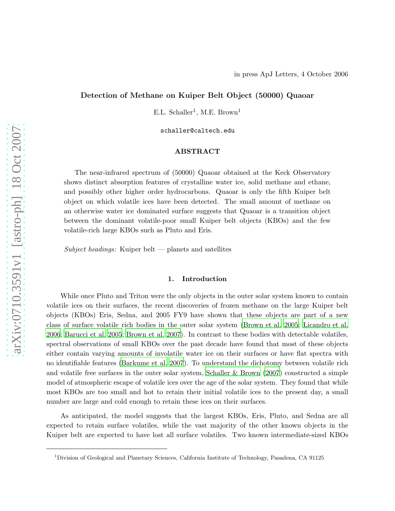# Detection of Methane on Kuiper Belt Object (50000) Quaoar

E.L. Schaller<sup>1</sup>, M.E. Brown<sup>1</sup>

schaller@caltech.edu

## ABSTRACT

The near-infrared spectrum of (50000) Quaoar obtained at the Keck Observatory shows distinct absorption features of crystalline water ice, solid methane and ethane, and possibly other higher order hydrocarbons. Quaoar is only the fifth Kuiper belt object on which volatile ices have been detected. The small amount of methane on an otherwise water ice dominated surface suggests that Quaoar is a transition object between the dominant volatile-poor small Kuiper belt objects (KBOs) and the few volatile-rich large KBOs such as Pluto and Eris.

 $Subject$  headings: Kuiper belt  $-$  planets and satellites

## 1. Introduction

While once Pluto and Triton were the only objects in the outer solar system known to contain volatile ices on their surfaces, the recent discoveries of frozen methane on the large Kuiper belt objects (KBOs) Eris, Sedna, and 2005 FY9 have shown that these objects are part of a new class of surface volatile rich bodies in the outer solar system [\(Brown et al. 2005](#page-4-0); [Licandro et al.](#page-4-1) [2006;](#page-4-1) [Barucci et al. 2005](#page-4-2); [Brown et al. 2007\)](#page-4-3). In contrast to these bodies with detectable volatiles, spectral observations of small KBOs over the past decade have found that most of these objects either contain varying amounts of involatile water ice on their surfaces or have flat spectra with no identifiable features [\(Barkume et al. 2007\)](#page-4-4). To understand the dichotomy between volatile rich and volatile free surfaces in the outer solar system, Schaller  $\&$  Brown (2007) constructed a simple model of atmospheric escape of volatile ices over the age of the solar system. They found that while most KBOs are too small and hot to retain their initial volatile ices to the present day, a small number are large and cold enough to retain these ices on their surfaces.

As anticipated, the model suggests that the largest KBOs, Eris, Pluto, and Sedna are all expected to retain surface volatiles, while the vast majority of the other known objects in the Kuiper belt are expected to have lost all surface volatiles. Two known intermediate-sized KBOs

<sup>1</sup>Division of Geological and Planetary Sciences, California Institute of Technology, Pasadena, CA 91125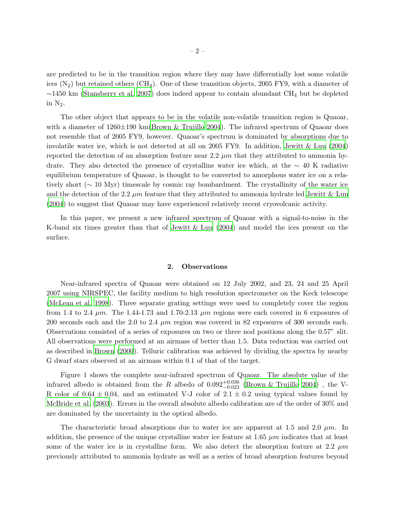are predicted to be in the transition region where they may have differentially lost some volatile ices  $(N_2)$  but retained others  $(CH_4)$ . One of these transition objects, 2005 FY9, with a diameter of  $\sim$ 1450 km [\(Stansberry et al. 2007](#page-5-1)) does indeed appear to contain abundant CH<sub>4</sub> but be depleted in  $N_2$ .

The other object that appears to be in the volatile non-volatile transition region is Quaoar, with a diameter of  $1260\pm190$  km[\(Brown & Trujillo 2004](#page-4-5)). The infrared spectrum of Quaoar does not resemble that of 2005 FY9, however. Quaoar's spectrum is dominated by absorptions due to involatile water ice, which is not detected at all on 2005 FY9. In addition, [Jewitt & Luu \(2004](#page-4-6)) reported the detection of an absorption feature near 2.2  $\mu$ m that they attributed to ammonia hydrate. They also detected the presence of crystalline water ice which, at the  $~\sim 40$  K radiative equilibrium temperature of Quaoar, is thought to be converted to amorphous water ice on a relatively short (∼ 10 Myr) timescale by cosmic ray bombardment. The crystallinity of the water ice and the detection of the 2.2  $\mu$ m feature that they attributed to ammonia hydrate led [Jewitt &](#page-4-6) Luu [\(2004](#page-4-6)) to suggest that Quaoar may have experienced relatively recent cryovolcanic activity.

In this paper, we present a new infrared spectrum of Quaoar with a signal-to-noise in the K-band six times greater than that of [Jewitt & Luu \(2004](#page-4-6)) and model the ices present on the surface.

### 2. Observations

Near-infrared spectra of Quaoar were obtained on 12 July 2002, and 23, 24 and 25 April 2007 using NIRSPEC, the facility medium to high resolution spectrometer on the Keck telescope [\(McLean et al. 1998](#page-5-2)). Three separate grating settings were used to completely cover the region from 1.4 to 2.4  $\mu$ m. The 1.44-1.73 and 1.70-2.13  $\mu$ m regions were each covered in 6 exposures of 200 seconds each and the 2.0 to 2.4  $\mu$ m region was covered in 82 exposures of 300 seconds each. Observations consisted of a series of exposures on two or three nod positions along the 0.57" slit. All observations were performed at an airmass of better than 1.5. Data reduction was carried out as described in [Brown \(2000](#page-4-7)). Telluric calibration was achieved by dividing the spectra by nearby G dwarf stars observed at an airmass within 0.1 of that of the target.

Figure 1 shows the complete near-infrared spectrum of Quaoar. The absolute value of the infrared albedo is obtained from the R albedo of  $0.092^{+0.036}_{-0.023}$  [\(Brown & Trujillo 2004](#page-4-5)), the V-R color of  $0.64 \pm 0.04$ , and an estimated V-J color of  $2.1 \pm 0.2$  using typical values found by [McBride et al. \(2003\)](#page-4-8). Errors in the overall absolute albedo calibration are of the order of 30% and are dominated by the uncertainty in the optical albedo.

The characteristic broad absorptions due to water ice are apparent at 1.5 and 2.0  $\mu$ m. In addition, the presence of the unique crystalline water ice feature at 1.65  $\mu$ m indicates that at least some of the water ice is in crystalline form. We also detect the absorption feature at 2.2  $\mu$ m previously attributed to ammonia hydrate as well as a series of broad absorption features beyond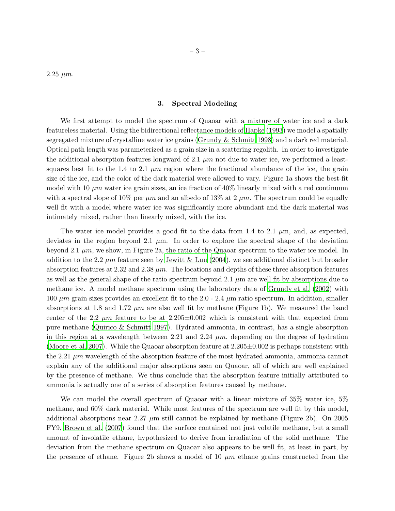$2.25 \; \mu m.$ 

# – 3 –

#### 3. Spectral Modeling

We first attempt to model the spectrum of Quaoar with a mixture of water ice and a dark featureless material. Using the bidirectional reflectance models of [Hapke \(1993](#page-4-9)) we model a spatially segregated mixture of crystalline water ice grains (Grundy [& Schmitt 1998\)](#page-4-10) and a dark red material. Optical path length was parameterized as a grain size in a scattering regolith. In order to investigate the additional absorption features longward of 2.1  $\mu$ m not due to water ice, we performed a leastsquares best fit to the 1.4 to 2.1  $\mu$ m region where the fractional abundance of the ice, the grain size of the ice, and the color of the dark material were allowed to vary. Figure 1a shows the best-fit model with 10  $\mu$ m water ice grain sizes, an ice fraction of 40% linearly mixed with a red continuum with a spectral slope of 10% per  $\mu$ m and an albedo of 13% at 2  $\mu$ m. The spectrum could be equally well fit with a model where water ice was significantly more abundant and the dark material was intimately mixed, rather than linearly mixed, with the ice.

The water ice model provides a good fit to the data from 1.4 to 2.1  $\mu$ m, and, as expected, deviates in the region beyond 2.1  $\mu$ m. In order to explore the spectral shape of the deviation beyond 2.1  $\mu$ m, we show, in Figure 2a, the ratio of the Quaoar spectrum to the water ice model. In addition to the 2.2  $\mu$ m feature seen by [Jewitt & Luu \(2004](#page-4-6)), we see additional distinct but broader absorption features at 2.32 and 2.38  $\mu$ m. The locations and depths of these three absorption features as well as the general shape of the ratio spectrum beyond 2.1  $\mu$ m are well fit by absorptions due to methane ice. A model methane spectrum using the laboratory data of [Grundy et al. \(2002](#page-4-11)) with 100  $\mu$ m grain sizes provides an excellent fit to the 2.0 - 2.4  $\mu$ m ratio spectrum. In addition, smaller absorptions at 1.8 and 1.72  $\mu$ m are also well fit by methane (Figure 1b). We measured the band center of the 2.2  $\mu$ m feature to be at 2.205 $\pm$ 0.002 which is consistent with that expected from pure methane [\(Quirico & Schmitt 1997](#page-5-3)). Hydrated ammonia, in contrast, has a single absorption in this region at a wavelength between 2.21 and 2.24  $\mu$ m, depending on the degree of hydration [\(Moore et al. 2007\)](#page-5-4). While the Quaoar absorption feature at  $2.205\pm0.002$  is perhaps consistent with the 2.21  $\mu$ m wavelength of the absorption feature of the most hydrated ammonia, ammonia cannot explain any of the additional major absorptions seen on Quaoar, all of which are well explained by the presence of methane. We thus conclude that the absorption feature initially attributed to ammonia is actually one of a series of absorption features caused by methane.

We can model the overall spectrum of Quaoar with a linear mixture of 35% water ice, 5% methane, and 60% dark material. While most features of the spectrum are well fit by this model, additional absorptions near  $2.27 \mu m$  still cannot be explained by methane (Figure 2b). On 2005 FY9, [Brown et al. \(2007\)](#page-4-3) found that the surface contained not just volatile methane, but a small amount of involatile ethane, hypothesized to derive from irradiation of the solid methane. The deviation from the methane spectrum on Quaoar also appears to be well fit, at least in part, by the presence of ethane. Figure 2b shows a model of 10  $\mu$ m ethane grains constructed from the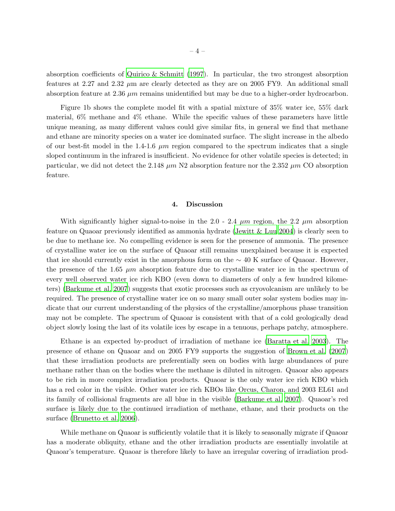absorption coefficients of [Quirico & Schmitt \(1997](#page-5-3)). In particular, the two strongest absorption features at 2.27 and 2.32  $\mu$ m are clearly detected as they are on 2005 FY9. An additional small absorption feature at 2.36  $\mu$ m remains unidentified but may be due to a higher-order hydrocarbon.

Figure 1b shows the complete model fit with a spatial mixture of 35% water ice, 55% dark material, 6% methane and 4% ethane. While the specific values of these parameters have little unique meaning, as many different values could give similar fits, in general we find that methane and ethane are minority species on a water ice dominated surface. The slight increase in the albedo of our best-fit model in the 1.4-1.6  $\mu$ m region compared to the spectrum indicates that a single sloped continuum in the infrared is insufficient. No evidence for other volatile species is detected; in particular, we did not detect the 2.148  $\mu$ m N2 absorption feature nor the 2.352  $\mu$ m CO absorption feature.

### 4. Discussion

With significantly higher signal-to-noise in the 2.0 - 2.4  $\mu$ m region, the 2.2  $\mu$ m absorption feature on Quaoar previously identified as ammonia hydrate [\(Jewitt & Luu 2004](#page-4-6)) is clearly seen to be due to methane ice. No compelling evidence is seen for the presence of ammonia. The presence of crystalline water ice on the surface of Quaoar still remains unexplained because it is expected that ice should currently exist in the amorphous form on the  $\sim 40$  K surface of Quaoar. However, the presence of the 1.65  $\mu$ m absorption feature due to crystalline water ice in the spectrum of every well observed water ice rich KBO (even down to diameters of only a few hundred kilometers) [\(Barkume et al. 2007\)](#page-4-4) suggests that exotic processes such as cryovolcanism are unlikely to be required. The presence of crystalline water ice on so many small outer solar system bodies may indicate that our current understanding of the physics of the crystalline/amorphous phase transition may not be complete. The spectrum of Quaoar is consistent with that of a cold geologically dead object slowly losing the last of its volatile ices by escape in a tenuous, perhaps patchy, atmosphere.

Ethane is an expected by-product of irradiation of methane ice [\(Baratta et al. 2003](#page-4-12)). The presence of ethane on Quaoar and on 2005 FY9 supports the suggestion of [Brown et al. \(2007](#page-4-3)) that these irradiation products are preferentially seen on bodies with large abundances of pure methane rather than on the bodies where the methane is diluted in nitrogen. Quaoar also appears to be rich in more complex irradiation products. Quaoar is the only water ice rich KBO which has a red color in the visible. Other water ice rich KBOs like Orcus, Charon, and 2003 EL61 and its family of collisional fragments are all blue in the visible [\(Barkume et al. 2007](#page-4-4)). Quaoar's red surface is likely due to the continued irradiation of methane, ethane, and their products on the surface [\(Brunetto et al. 2006](#page-4-13)).

While methane on Quaoar is sufficiently volatile that it is likely to seasonally migrate if Quaoar has a moderate obliquity, ethane and the other irradiation products are essentially involatile at Quaoar's temperature. Quaoar is therefore likely to have an irregular covering of irradiation prod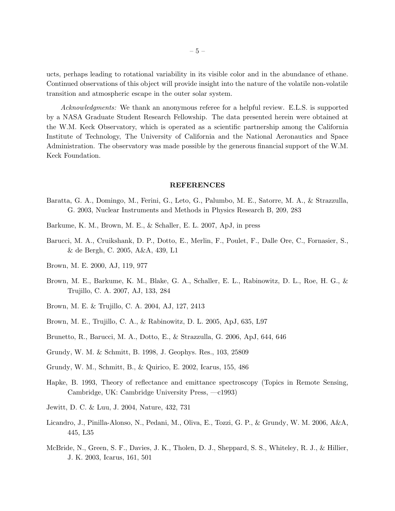ucts, perhaps leading to rotational variability in its visible color and in the abundance of ethane. Continued observations of this object will provide insight into the nature of the volatile non-volatile transition and atmospheric escape in the outer solar system.

Acknowledgments: We thank an anonymous referee for a helpful review. E.L.S. is supported by a NASA Graduate Student Research Fellowship. The data presented herein were obtained at the W.M. Keck Observatory, which is operated as a scientific partnership among the California Institute of Technology, The University of California and the National Aeronautics and Space Administration. The observatory was made possible by the generous financial support of the W.M. Keck Foundation.

### REFERENCES

- <span id="page-4-12"></span>Baratta, G. A., Domingo, M., Ferini, G., Leto, G., Palumbo, M. E., Satorre, M. A., & Strazzulla, G. 2003, Nuclear Instruments and Methods in Physics Research B, 209, 283
- <span id="page-4-4"></span>Barkume, K. M., Brown, M. E., & Schaller, E. L. 2007, ApJ, in press
- <span id="page-4-2"></span>Barucci, M. A., Cruikshank, D. P., Dotto, E., Merlin, F., Poulet, F., Dalle Ore, C., Fornasier, S., & de Bergh, C. 2005, A&A, 439, L1
- <span id="page-4-7"></span>Brown, M. E. 2000, AJ, 119, 977
- <span id="page-4-3"></span>Brown, M. E., Barkume, K. M., Blake, G. A., Schaller, E. L., Rabinowitz, D. L., Roe, H. G., & Trujillo, C. A. 2007, AJ, 133, 284
- <span id="page-4-5"></span>Brown, M. E. & Trujillo, C. A. 2004, AJ, 127, 2413
- <span id="page-4-0"></span>Brown, M. E., Trujillo, C. A., & Rabinowitz, D. L. 2005, ApJ, 635, L97
- <span id="page-4-13"></span>Brunetto, R., Barucci, M. A., Dotto, E., & Strazzulla, G. 2006, ApJ, 644, 646
- <span id="page-4-10"></span>Grundy, W. M. & Schmitt, B. 1998, J. Geophys. Res., 103, 25809
- <span id="page-4-11"></span>Grundy, W. M., Schmitt, B., & Quirico, E. 2002, Icarus, 155, 486
- <span id="page-4-9"></span>Hapke, B. 1993, Theory of reflectance and emittance spectroscopy (Topics in Remote Sensing, Cambridge, UK: Cambridge University Press, —c1993)
- <span id="page-4-6"></span>Jewitt, D. C. & Luu, J. 2004, Nature, 432, 731
- <span id="page-4-1"></span>Licandro, J., Pinilla-Alonso, N., Pedani, M., Oliva, E., Tozzi, G. P., & Grundy, W. M. 2006, A&A, 445, L35
- <span id="page-4-8"></span>McBride, N., Green, S. F., Davies, J. K., Tholen, D. J., Sheppard, S. S., Whiteley, R. J., & Hillier, J. K. 2003, Icarus, 161, 501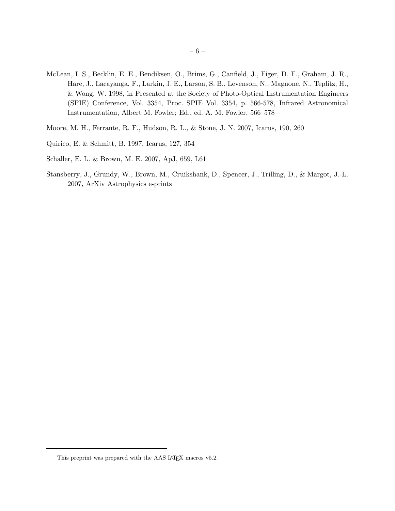- <span id="page-5-2"></span>McLean, I. S., Becklin, E. E., Bendiksen, O., Brims, G., Canfield, J., Figer, D. F., Graham, J. R., Hare, J., Lacayanga, F., Larkin, J. E., Larson, S. B., Levenson, N., Magnone, N., Teplitz, H., & Wong, W. 1998, in Presented at the Society of Photo-Optical Instrumentation Engineers (SPIE) Conference, Vol. 3354, Proc. SPIE Vol. 3354, p. 566-578, Infrared Astronomical Instrumentation, Albert M. Fowler; Ed., ed. A. M. Fowler, 566–578
- <span id="page-5-4"></span>Moore, M. H., Ferrante, R. F., Hudson, R. L., & Stone, J. N. 2007, Icarus, 190, 260
- <span id="page-5-3"></span>Quirico, E. & Schmitt, B. 1997, Icarus, 127, 354
- <span id="page-5-0"></span>Schaller, E. L. & Brown, M. E. 2007, ApJ, 659, L61
- <span id="page-5-1"></span>Stansberry, J., Grundy, W., Brown, M., Cruikshank, D., Spencer, J., Trilling, D., & Margot, J.-L. 2007, ArXiv Astrophysics e-prints

This preprint was prepared with the AAS IATEX macros v5.2.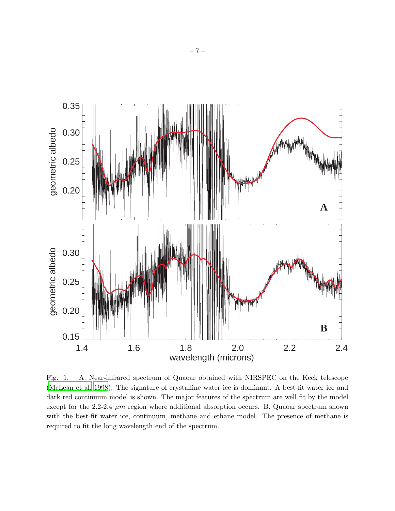

Fig. 1.— A. Near-infrared spectrum of Quaoar obtained with NIRSPEC on the Keck telescope [\(McLean et al. 1998\)](#page-5-2). The signature of crystalline water ice is dominant. A best-fit water ice and dark red continuum model is shown. The major features of the spectrum are well fit by the model except for the 2.2-2.4  $\mu$ m region where additional absorption occurs. B. Quaoar spectrum shown with the best-fit water ice, continuum, methane and ethane model. The presence of methane is required to fit the long wavelength end of the spectrum.